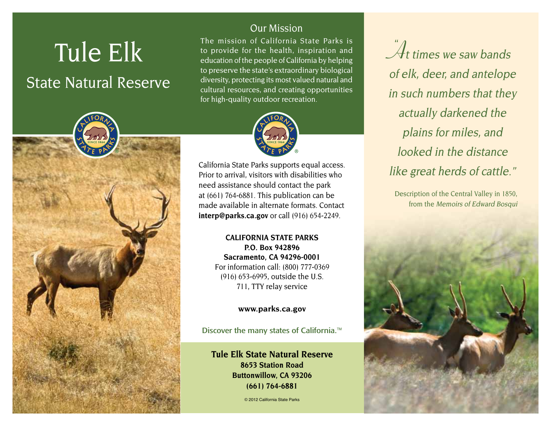# Tule Elk State Natural Reserve



# Our Mission

The mission of California State Parks is to provide for the health, inspiration and education of the people of California by helping to preserve the state's extraordinary biological diversity, protecting its most valued natural and cultural resources, and creating opportunities for high-quality outdoor recreation.



California State Parks supports equal access. Prior to arrival, visitors with disabilities who need assistance should contact the park at (661) 764-6881. This publication can be made available in alternate formats. Contact **[interp@parks.ca.gov](http://interp@parks.ca.gov)** or call (916) 654-2249.

> **CALIFORNIA STATE PARKS P.O. Box 942896 Sacramento, CA 94296-0001** For information call: (800) 777-0369 (916) 653-6995, outside the U.S. 711, TTY relay service

> > **[www.parks.ca.gov](http://www.parks.ca.gov)**

Discover the many states of California.<sup>™</sup>

**Tule Elk State Natural Reserve 8653 Station Road Buttonwillow, CA 93206 (661) 764-6881**

© 2012 California State Parks

 $\mathcal{\hat{A}}$ t times we saw bands of elk, deer, and antelope in such numbers that they actually darkened the plains for miles, and looked in the distance like great herds of cattle."

Description of the Central Valley in 1850, from the Memoirs of Edward Bosqui

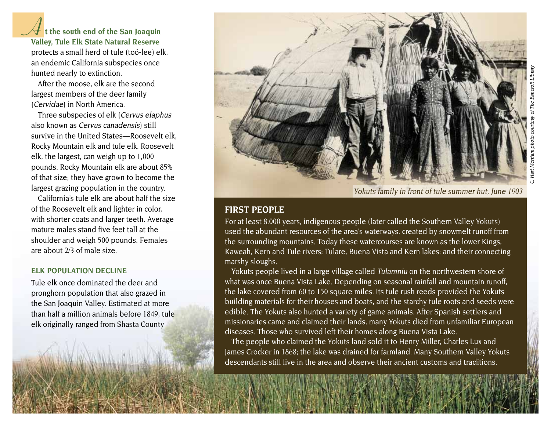**At the south end of the San Joaquin Valley, Tule Elk State Natural Reserve**  protects a small herd of tule (toó-lee) elk, an endemic California subspecies once hunted nearly to extinction.

After the moose, elk are the second largest members of the deer family (Cervidae) in North America.

Three subspecies of elk (Cervus elaphus also known as Cervus canadensis) still survive in the United States—Roosevelt elk, Rocky Mountain elk and tule elk. Roosevelt elk, the largest, can weigh up to 1,000 pounds. Rocky Mountain elk are about 85% of that size; they have grown to become the largest grazing population in the country.

California's tule elk are about half the size of the Roosevelt elk and lighter in color, with shorter coats and larger teeth. Average mature males stand five feet tall at the shoulder and weigh 500 pounds. Females are about 2/3 of male size.

#### **ELK POPULATION DECLINE**

Tule elk once dominated the deer and pronghorn population that also grazed in the San Joaquin Valley. Estimated at more than half a million animals before 1849, tule elk originally ranged from Shasta County



Yokuts family in front of tule summer hut, June 1903

#### **FIRST PEOPLE**

For at least 8,000 years, indigenous people (later called the Southern Valley Yokuts) used the abundant resources of the area's waterways, created by snowmelt runoff from the surrounding mountains. Today these watercourses are known as the lower Kings, Kaweah, Kern and Tule rivers; Tulare, Buena Vista and Kern lakes; and their connecting marshy sloughs.

Yokuts people lived in a large village called Tulamniu on the northwestern shore of what was once Buena Vista Lake. Depending on seasonal rainfall and mountain runoff, the lake covered from 60 to 150 square miles. Its tule rush reeds provided the Yokuts building materials for their houses and boats, and the starchy tule roots and seeds were edible. The Yokuts also hunted a variety of game animals. After Spanish settlers and missionaries came and claimed their lands, many Yokuts died from unfamiliar European diseases. Those who survived left their homes along Buena Vista Lake.

The people who claimed the Yokuts land sold it to Henry Miller, Charles Lux and James Crocker in 1868; the lake was drained for farmland. Many Southern Valley Yokuts descendants still live in the area and observe their ancient customs and traditions.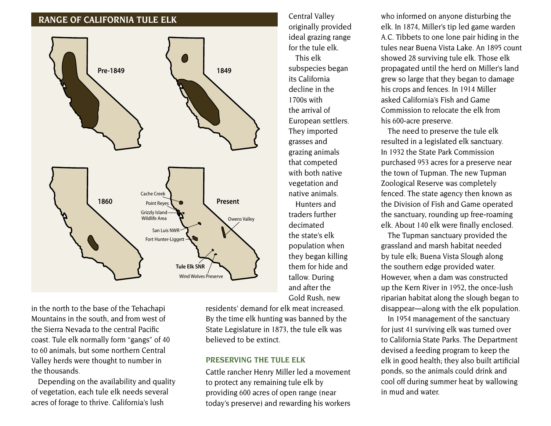## **RANGE OF CALIFORNIA TULE ELK**



Central Valley originally provided ideal grazing range for the tule elk. This elk subspecies began its California decline in the 1700s with the arrival of European settlers. They imported grasses and grazing animals that competed with both native vegetation and native animals. Hunters and traders further decimated the state's elk population when they began killing them for hide and tallow. During and after the Gold Rush, new

in the north to the base of the Tehachapi Mountains in the south, and from west of the Sierra Nevada to the central Pacific coast. Tule elk normally form "gangs" of 40 to 60 animals, but some northern Central Valley herds were thought to number in the thousands.

Depending on the availability and quality of vegetation, each tule elk needs several acres of forage to thrive. California's lush

residents' demand for elk meat increased. By the time elk hunting was banned by the State Legislature in 1873, the tule elk was believed to be extinct.

#### **PRESERVINg ThE TuLE ELK**

Cattle rancher Henry Miller led a movement to protect any remaining tule elk by providing 600 acres of open range (near today's preserve) and rewarding his workers

who informed on anyone disturbing the elk. In 1874, Miller's tip led game warden A.C. Tibbets to one lone pair hiding in the tules near Buena Vista Lake. An 1895 count showed 28 surviving tule elk. Those elk propagated until the herd on Miller's land grew so large that they began to damage his crops and fences. In 1914 Miller asked California's Fish and Game Commission to relocate the elk from his 600-acre preserve.

The need to preserve the tule elk resulted in a legislated elk sanctuary. In 1932 the State Park Commission purchased 953 acres for a preserve near the town of Tupman. The new Tupman Zoological Reserve was completely fenced. The state agency then known as the Division of Fish and Game operated the sanctuary, rounding up free-roaming elk. About 140 elk were finally enclosed.

The Tupman sanctuary provided the grassland and marsh habitat needed by tule elk; Buena Vista Slough along the southern edge provided water. However, when a dam was constructed up the Kern River in 1952, the once-lush riparian habitat along the slough began to disappear—along with the elk population.

In 1954 management of the sanctuary for just 41 surviving elk was turned over to California State Parks. The Department devised a feeding program to keep the elk in good health; they also built artificial ponds, so the animals could drink and cool off during summer heat by wallowing in mud and water.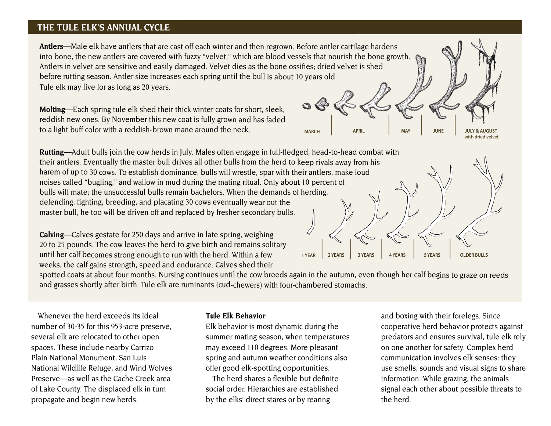## **ThE TuLE ELK'S ANNuAL CYCLE**

**Antlers**—Male elk have antlers that are cast off each winter and then regrown. Before antler cartilage hardens into bone, the new antlers are covered with fuzzy "velvet," which are blood vessels that nourish the bone growth. Antlers in velvet are sensitive and easily damaged. Velvet dies as the bone ossifies; dried velvet is shed before rutting season. Antler size increases each spring until the bull is about 10 years old. Tule elk may live for as long as 20 years.

**Molting**—Each spring tule elk shed their thick winter coats for short, sleek, reddish new ones. By November this new coat is fully grown and has faded to a light buff color with a reddish-brown mane around the neck.

**Rutting**—Adult bulls join the cow herds in July. Males often engage in full-fledged, head-to-head combat with their antlers. Eventually the master bull drives all other bulls from the herd to keep rivals away from his harem of up to 30 cows. To establish dominance, bulls will wrestle, spar with their antlers, make loud noises called "bugling," and wallow in mud during the mating ritual. Only about 10 percent of bulls will mate; the unsuccessful bulls remain bachelors. When the demands of herding, defending, fighting, breeding, and placating 30 cows eventually wear out the master bull, he too will be driven off and replaced by fresher secondary bulls.

**Calving**—Calves gestate for 250 days and arrive in late spring, weighing 20 to 25 pounds. The cow leaves the herd to give birth and remains solitary until her calf becomes strong enough to run with the herd. Within a few weeks, the calf gains strength, speed and endurance. Calves shed their



**MARCH APRIL MAY JUNE JULY & AUGUST**

spotted coats at about four months. Nursing continues until the cow breeds again in the autumn, even though her calf begins to graze on reeds and grasses shortly after birth. Tule elk are ruminants (cud-chewers) with four-chambered stomachs.

Whenever the herd exceeds its ideal number of 30-35 for this 953-acre preserve, several elk are relocated to other open spaces. These include nearby Carrizo Plain National Monument, San Luis National Wildlife Refuge, and Wind Wolves Preserve—as well as the Cache Creek area of Lake County. The displaced elk in turn propagate and begin new herds.

#### **Tule Elk Behavior**

Elk behavior is most dynamic during the summer mating season, when temperatures may exceed 110 degrees. More pleasant spring and autumn weather conditions also offer good elk-spotting opportunities.

The herd shares a flexible but definite social order. Hierarchies are established by the elks' direct stares or by rearing

and boxing with their forelegs. Since cooperative herd behavior protects against predators and ensures survival, tule elk rely on one another for safety. Complex herd communication involves elk senses: they use smells, sounds and visual signs to share information. While grazing, the animals signal each other about possible threats to the herd.

**with dried velvet**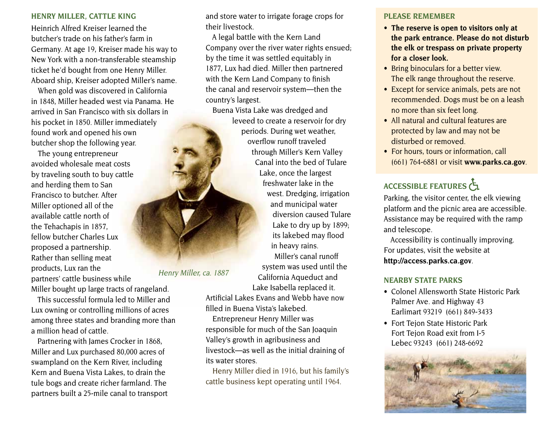#### **hENRY MILLER, CATTLE KINg**

Heinrich Alfred Kreiser learned the butcher's trade on his father's farm in Germany. At age 19, Kreiser made his way to New York with a non-transferable steamship ticket he'd bought from one Henry Miller. Aboard ship, Kreiser adopted Miller's name.

When gold was discovered in California in 1848, Miller headed west via Panama. He arrived in San Francisco with six dollars in his pocket in 1850. Miller immediately found work and opened his own butcher shop the following year.

The young entrepreneur avoided wholesale meat costs by traveling south to buy cattle and herding them to San Francisco to butcher. After Miller optioned all of the available cattle north of the Tehachapis in 1857, fellow butcher Charles Lux proposed a partnership. Rather than selling meat products, Lux ran the partners' cattle business while Miller bought up large tracts of rangeland.

This successful formula led to Miller and Lux owning or controlling millions of acres among three states and branding more than a million head of cattle.

Partnering with James Crocker in 1868, Miller and Lux purchased 80,000 acres of swampland on the Kern River, including Kern and Buena Vista Lakes, to drain the tule bogs and create richer farmland. The partners built a 25-mile canal to transport and store water to irrigate forage crops for their livestock.

A legal battle with the Kern Land Company over the river water rights ensued; by the time it was settled equitably in 1877, Lux had died. Miller then partnered with the Kern Land Company to finish the canal and reservoir system—then the country's largest.

Buena Vista Lake was dredged and leveed to create a reservoir for dry periods. During wet weather, overflow runoff traveled through Miller's Kern Valley Canal into the bed of Tulare Lake, once the largest freshwater lake in the west. Dredging, irrigation and municipal water diversion caused Tulare Lake to dry up by 1899; its lakebed may flood in heavy rains. Miller's canal runoff system was used until the

California Aqueduct and Lake Isabella replaced it.

Artificial Lakes Evans and Webb have now filled in Buena Vista's lakebed.

Henry Miller, ca. 1887

Entrepreneur Henry Miller was responsible for much of the San Joaquin Valley's growth in agribusiness and livestock—as well as the initial draining of its water stores.

Henry Miller died in 1916, but his family's cattle business kept operating until 1964.

#### **PLEASE REMEMBER**

- **• The reserve is open to visitors only at the park entrance. Please do not disturb the elk or trespass on private property for a closer look.**
- Bring binoculars for a better view. The elk range throughout the reserve.
- Except for service animals, pets are not recommended. Dogs must be on a leash no more than six feet long.
- All natural and cultural features are protected by law and may not be disturbed or removed.
- For hours, tours or information, call (661) 764-6881 or visit **[www.parks.ca.gov](http://www.parks.ca.gov)**.

# ACCESSIBLE FEATURES

Parking, the visitor center, the elk viewing platform and the picnic area are accessible. Assistance may be required with the ramp and telescope.

Accessibility is continually improving. For updates, visit the website at **<http://access.parks.ca.gov>***.*

#### **NEARBY STATE PARKS**

- • Colonel Allensworth State Historic Park Palmer Ave. and Highway 43 Earlimart 93219 (661) 849-3433
- Fort Tejon State Historic Park Fort Tejon Road exit from I-5 Lebec 93243 (661) 248-6692

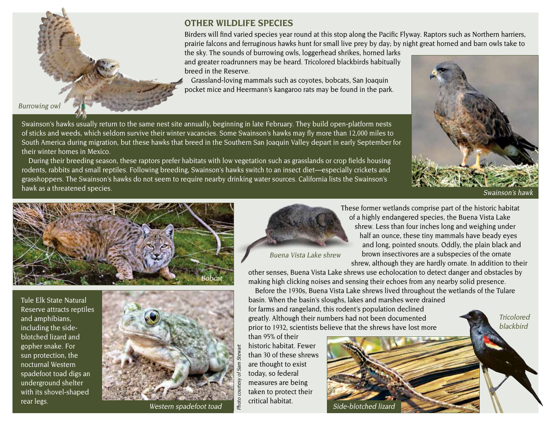

Burrowing owl

# **OTHER WILDLIFE SPECIES**

Birders will find varied species year round at this stop along the Pacific Flyway. Raptors such as Northern harriers, prairie falcons and ferruginous hawks hunt for small live prey by day; by night great horned and barn owls take to

the sky. The sounds of burrowing owls, loggerhead shrikes, horned larks and greater roadrunners may be heard. Tricolored blackbirds habitually breed in the Reserve.

Grassland-loving mammals such as coyotes, bobcats, San Joaquin pocket mice and Heermann's kangaroo rats may be found in the park.

Swainson's hawks usually return to the same nest site annually, beginning in late February. They build open-platform nests of sticks and weeds, which seldom survive their winter vacancies. Some Swainson's hawks may fly more than 12,000 miles to South America during migration, but these hawks that breed in the Southern San Joaquin Valley depart in early September for their winter homes in Mexico.

During their breeding season, these raptors prefer habitats with low vegetation such as grasslands or crop fields housing rodents, rabbits and small reptiles. Following breeding, Swainson's hawks switch to an insect diet—especially crickets and grasshoppers. The Swainson's hawks do not seem to require nearby drinking water sources. California lists the Swainson's hawk as a threatened species. Swainson's hawken and the state of the state of the state of the state of the state of the state of the state of the state of the state of the state of the state of the state of the state of t



Tricolored



Tule Elk State Natural Reserve attracts reptiles and amphibians, including the sideblotched lizard and gopher snake. For sun protection, the nocturnal Western spadefoot toad digs an underground shelter with its shovel-shaped rear legs.



Western spadefoot toad



These former wetlands comprise part of the historic habitat of a highly endangered species, the Buena Vista Lake shrew. Less than four inches long and weighing under half an ounce, these tiny mammals have beady eyes and long, pointed snouts. Oddly, the plain black and brown insectivores are a subspecies of the ornate shrew, although they are hardly ornate. In addition to their

Buena Vista Lake shrew

other senses, Buena Vista Lake shrews use echolocation to detect danger and obstacles by making high clicking noises and sensing their echoes from any nearby solid presence.

Before the 1930s, Buena Vista Lake shrews lived throughout the wetlands of the Tulare basin. When the basin's sloughs, lakes and marshes were drained for farms and rangeland, this rodent's population declined greatly. Although their numbers had not been documented

prior to 1932, scientists believe that the shrews have lost more

than 95% of their historic habitat. Fewer than 30 of these shrews are thought to exist today, so federal measures are being taken to protect their critical habitat.

Photo courtesy of Sam Stewart